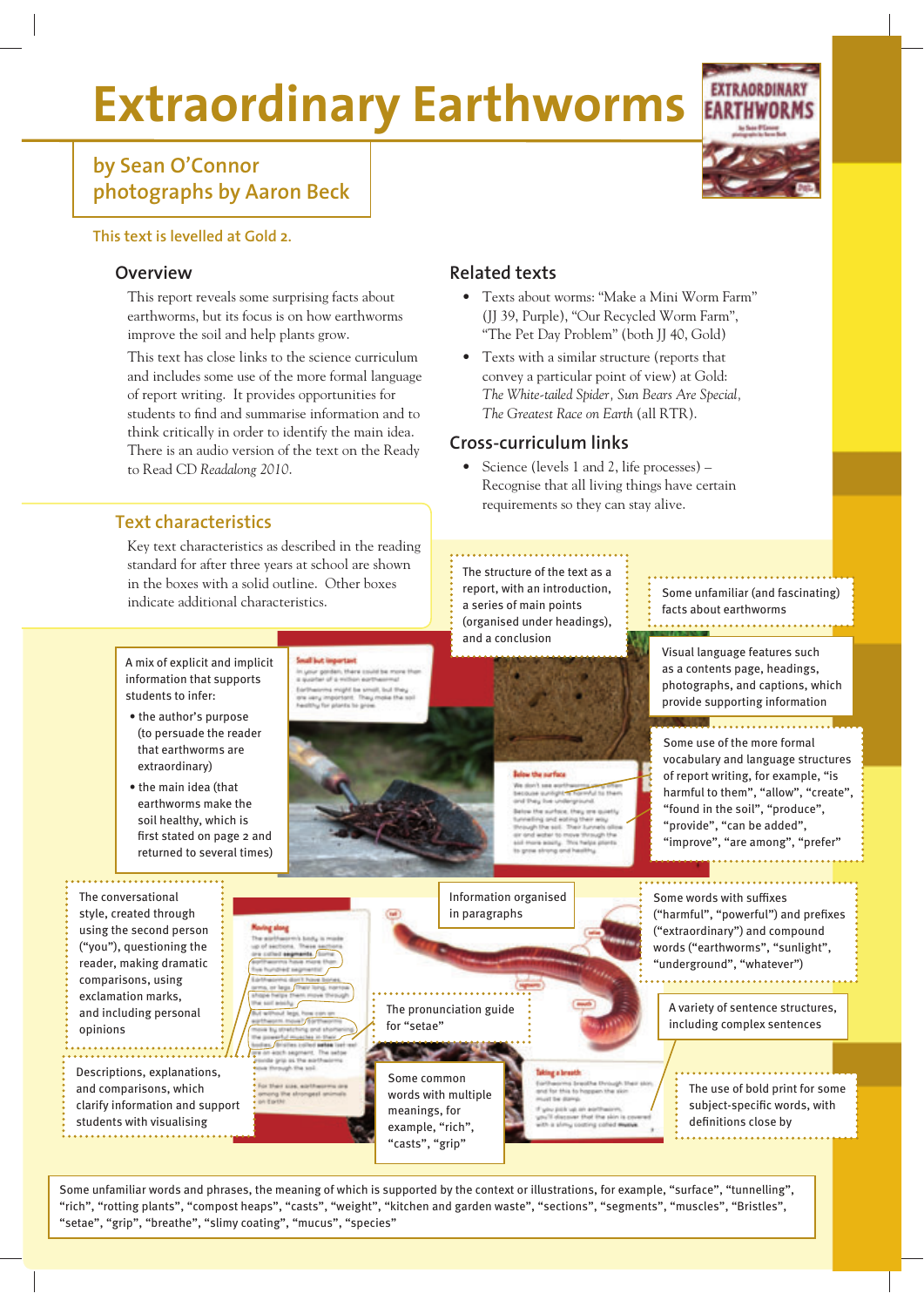# **Extraordinary Earthworms**

### **by Sean O'Connor photographs by Aaron Beck**

#### **This text is levelled at Gold 2.**

#### **Overview**

This report reveals some surprising facts about earthworms, but its focus is on how earthworms improve the soil and help plants grow.

This text has close links to the science curriculum and includes some use of the more formal language of report writing. It provides opportunities for students to find and summarise information and to think critically in order to identify the main idea. There is an audio version of the text on the Ready to Read CD *Readalong 2010*.

#### **Related texts**

- Texts about worms: "Make a Mini Worm Farm" (JJ 39, Purple), "Our Recycled Worm Farm", "The Pet Day Problem" (both JJ 40, Gold)
- Texts with a similar structure (reports that convey a particular point of view) at Gold: *The White-tailed Spider, Sun Bears Are Special, The Greatest Race on Earth* (all RTR).

#### **Cross-curriculum links**

• Science (levels 1 and 2, life processes) – Recognise that all living things have certain requirements so they can stay alive.

#### **Text characteristics**

Key text characteristics as described in the reading standard for after three years at school are shown in the boxes with a solid outline. Other boxes indicate additional characteristics.

A mix of explicit and implicit information that supports students to infer:

- the author's purpose (to persuade the reader that earthworms are extraordinary)
- the main idea (that earthworms make the soil healthy, which is first stated on page 2 and returned to several times)

The conversational style, created through using the second person ("you"), questioning the reader, making dramatic comparisons, using exclamation marks, and including personal

. <del>. . . . . . . . . . . .</del> .

Descriptions, explanations, and comparisons, which clarify information and support students with visualising

opinions



report, with an introduction, a series of main points (organised under headings), and a conclusion

the sixthest

The structure of the text as a

Some unfamiliar (and fascinating) facts about earthworms 

Visual language features such as a contents page, headings, photographs, and captions, which provide supporting information

Some use of the more formal vocabulary and language structures of report writing, for example, "is harmful to them", "allow", "create", "found in the soil", "produce", "provide", "can be added", "improve", "are among", "prefer"

Some words with suffixes ("harmful", "powerful") and prefixes ("extraordinary") and compound words ("earthworms", "sunlight", "underground", "whatever")

> A variety of sentence structures, including complex sentences

The use of bold print for some subject-specific words, with definitions close by

Some unfamiliar words and phrases, the meaning of which is supported by the context or illustrations, for example, "surface", "tunnelling", "rich", "rotting plants", "compost heaps", "casts", "weight", "kitchen and garden waste", "sections", "segments", "muscles", "Bristles", "setae", "grip", "breathe", "slimy coating", "mucus", "species"

Some common words with multiple meanings, for example, "rich", "casts", "grip"

for "setae"

The pronunciation guide

. . . . . . . . . . . . . . . . . .

Information organised in paragraphs

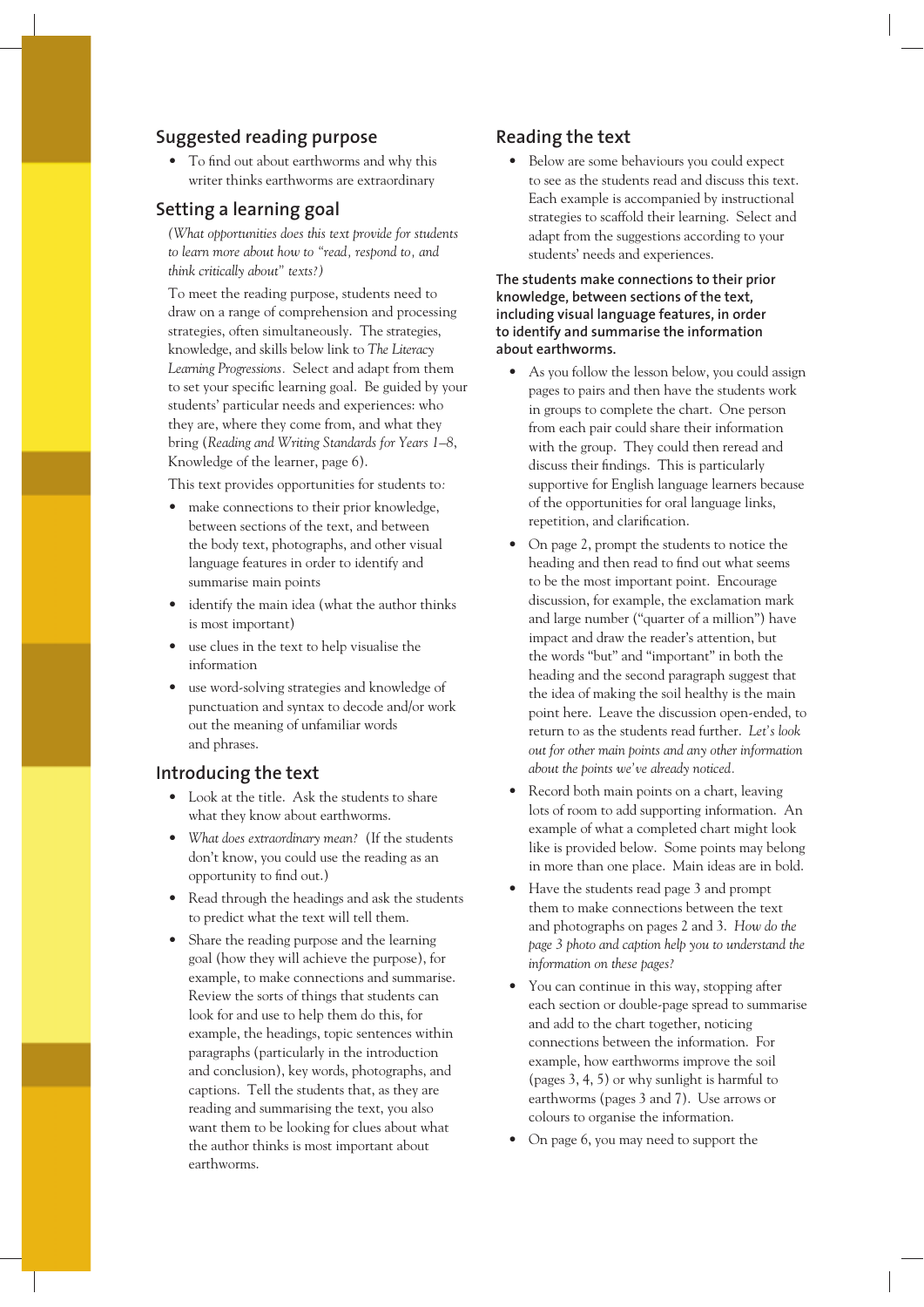#### **Suggested reading purpose**

• To find out about earthworms and why this writer thinks earthworms are extraordinary

#### **Setting a learning goal**

*(What opportunities does this text provide for students to learn more about how to "read, respond to, and think critically about" texts?)* 

To meet the reading purpose, students need to draw on a range of comprehension and processing strategies, often simultaneously. The strategies, knowledge, and skills below link to *The Literacy Learning Progressions.* Select and adapt from them to set your specific learning goal. Be guided by your students' particular needs and experiences: who they are, where they come from, and what they bring (*Reading and Writing Standards for Years 1–8*, Knowledge of the learner, page 6).

This text provides opportunities for students to*:*

- make connections to their prior knowledge, between sections of the text, and between the body text, photographs, and other visual language features in order to identify and summarise main points
- identify the main idea (what the author thinks is most important)
- use clues in the text to help visualise the information
- use word-solving strategies and knowledge of punctuation and syntax to decode and/or work out the meaning of unfamiliar words and phrases.

#### **Introducing the text**

- Look at the title. Ask the students to share what they know about earthworms.
- *What does extraordinary mean?* (If the students don't know, you could use the reading as an opportunity to find out.)
- Read through the headings and ask the students to predict what the text will tell them.
- Share the reading purpose and the learning goal (how they will achieve the purpose), for example, to make connections and summarise. Review the sorts of things that students can look for and use to help them do this, for example, the headings, topic sentences within paragraphs (particularly in the introduction and conclusion), key words, photographs, and captions. Tell the students that, as they are reading and summarising the text, you also want them to be looking for clues about what the author thinks is most important about earthworms.

#### **Reading the text**

• Below are some behaviours you could expect to see as the students read and discuss this text. Each example is accompanied by instructional strategies to scaffold their learning. Select and adapt from the suggestions according to your students' needs and experiences.

**The students make connections to their prior knowledge, between sections of the text, including visual language features, in order to identify and summarise the information about earthworms.** 

- As you follow the lesson below, you could assign pages to pairs and then have the students work in groups to complete the chart. One person from each pair could share their information with the group. They could then reread and discuss their findings. This is particularly supportive for English language learners because of the opportunities for oral language links, repetition, and clarification.
- On page 2, prompt the students to notice the heading and then read to find out what seems to be the most important point. Encourage discussion, for example, the exclamation mark and large number ("quarter of a million") have impact and draw the reader's attention, but the words "but" and "important" in both the heading and the second paragraph suggest that the idea of making the soil healthy is the main point here. Leave the discussion open-ended, to return to as the students read further. *Let's look out for other main points and any other information about the points we've already noticed.*
- Record both main points on a chart, leaving lots of room to add supporting information. An example of what a completed chart might look like is provided below. Some points may belong in more than one place. Main ideas are in bold.
- Have the students read page 3 and prompt them to make connections between the text and photographs on pages 2 and 3. *How do the page 3 photo and caption help you to understand the information on these pages?*
- You can continue in this way, stopping after each section or double-page spread to summarise and add to the chart together, noticing connections between the information. For example, how earthworms improve the soil (pages 3, 4, 5) or why sunlight is harmful to earthworms (pages 3 and 7). Use arrows or colours to organise the information.
- On page 6, you may need to support the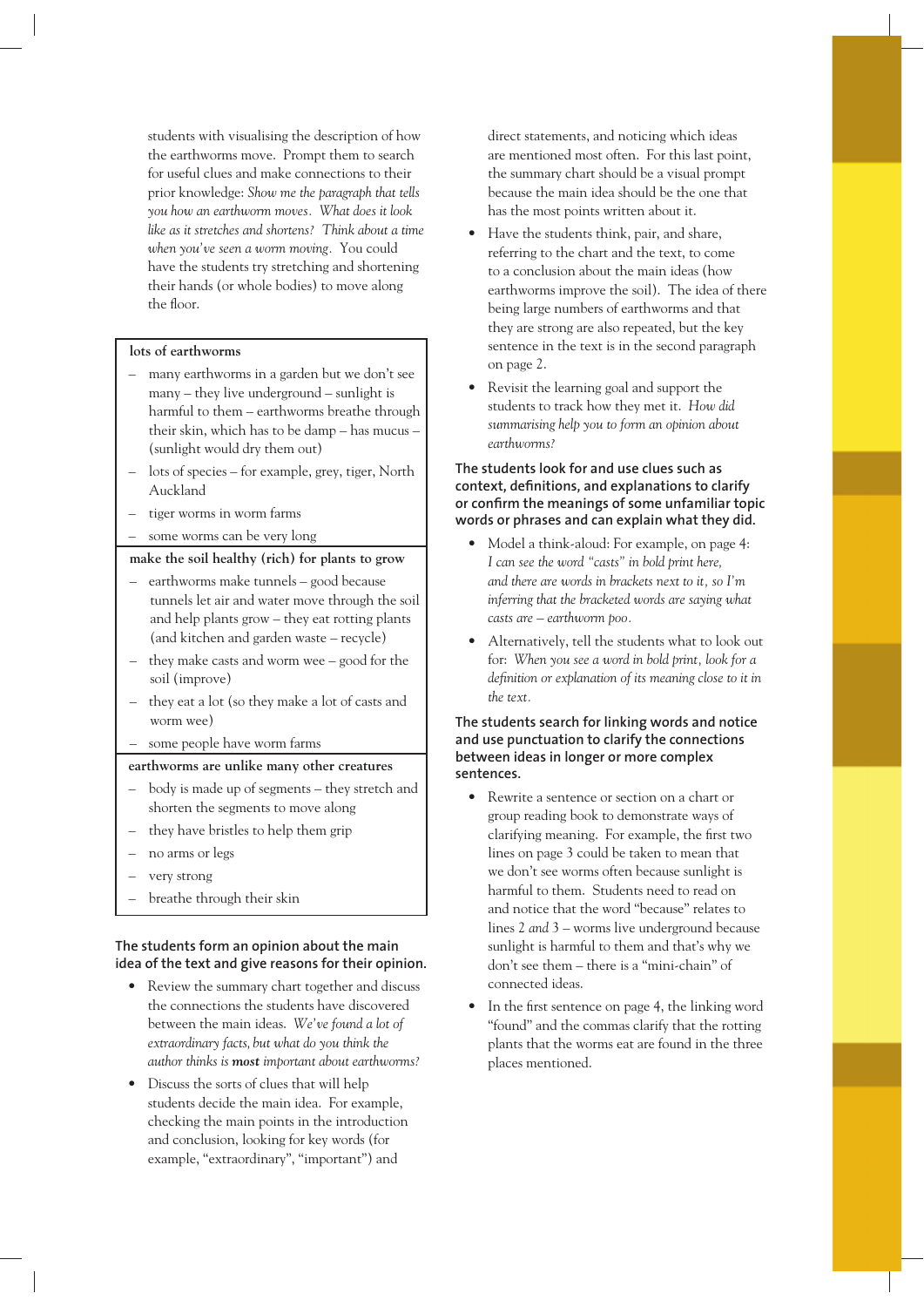students with visualising the description of how the earthworms move. Prompt them to search for useful clues and make connections to their prior knowledge: *Show me the paragraph that tells you how an earthworm moves. What does it look like as it stretches and shortens? Think about a time when you've seen a worm moving.* You could have the students try stretching and shortening their hands (or whole bodies) to move along the floor.

#### **lots of earthworms**

- many earthworms in a garden but we don't see many – they live underground – sunlight is harmful to them – earthworms breathe through their skin, which has to be damp – has mucus – (sunlight would dry them out)
- lots of species for example, grey, tiger, North Auckland
- tiger worms in worm farms
- some worms can be very long

#### **make the soil healthy (rich) for plants to grow**

- earthworms make tunnels good because tunnels let air and water move through the soil and help plants grow – they eat rotting plants (and kitchen and garden waste – recycle)
- they make casts and worm wee good for the soil (improve)
- they eat a lot (so they make a lot of casts and worm wee)
- some people have worm farms

#### **earthworms are unlike many other creatures**

- body is made up of segments they stretch and shorten the segments to move along
- they have bristles to help them grip
- no arms or legs
- very strong
- breathe through their skin

#### **The students form an opinion about the main idea of the text and give reasons for their opinion.**

- Review the summary chart together and discuss the connections the students have discovered between the main ideas. *We've found a lot of extraordinary facts, but what do you think the author thinks is most important about earthworms?*
- Discuss the sorts of clues that will help students decide the main idea. For example, checking the main points in the introduction and conclusion, looking for key words (for example, "extraordinary", "important") and

direct statements, and noticing which ideas are mentioned most often. For this last point, the summary chart should be a visual prompt because the main idea should be the one that has the most points written about it.

- Have the students think, pair, and share, referring to the chart and the text, to come to a conclusion about the main ideas (how earthworms improve the soil). The idea of there being large numbers of earthworms and that they are strong are also repeated, but the key sentence in the text is in the second paragraph on page 2.
- Revisit the learning goal and support the students to track how they met it. *How did summarising help you to form an opinion about earthworms?*

#### **The students look for and use clues such as**  context, definitions, and explanations to clarify or confirm the meanings of some unfamiliar topic **words or phrases and can explain what they did.**

- Model a think-aloud: For example, on page 4: *I can see the word "casts" in bold print here, and there are words in brackets next to it, so I'm inferring that the bracketed words are saying what casts are – earthworm poo.*
- Alternatively, tell the students what to look out for: *When you see a word in bold print, look for a*  definition or explanation of its meaning close to it in *the text.*

#### **The students search for linking words and notice and use punctuation to clarify the connections between ideas in longer or more complex sentences.**

- Rewrite a sentence or section on a chart or group reading book to demonstrate ways of clarifying meaning. For example, the first two lines on page 3 could be taken to mean that we don't see worms often because sunlight is harmful to them. Students need to read on and notice that the word "because" relates to lines 2 *and* 3 – worms live underground because sunlight is harmful to them and that's why we don't see them – there is a "mini-chain" of connected ideas.
- In the first sentence on page 4, the linking word "found" and the commas clarify that the rotting plants that the worms eat are found in the three places mentioned.